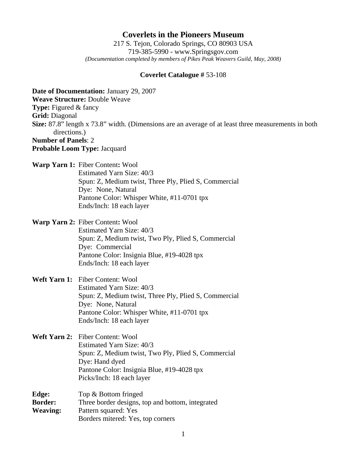## **Coverlets in the Pioneers Museum**

217 S. Tejon, Colorado Springs, CO 80903 USA 719-385-5990 - www.Springsgov.com *(Documentation completed by members of Pikes Peak Weavers Guild, May, 2008)* 

## **Coverlet Catalogue #** 53-108

**Date of Documentation:** January 29, 2007 **Weave Structure:** Double Weave **Type:** Figured & fancy **Grid:** Diagonal **Size:** 87.8" length x 73.8" width. (Dimensions are an average of at least three measurements in both directions.) **Number of Panels**: 2 **Probable Loom Type:** Jacquard **Warp Yarn 1:** Fiber Content**:** Wool Estimated Yarn Size: 40/3 Spun: Z, Medium twist, Three Ply, Plied S, Commercial Dye: None, Natural Pantone Color: Whisper White, #11-0701 tpx Ends/Inch: 18 each layer **Warp Yarn 2:** Fiber Content**:** Wool Estimated Yarn Size: 40/3 Spun: Z, Medium twist, Two Ply, Plied S, Commercial Dye: Commercial Pantone Color: Insignia Blue, #19-4028 tpx Ends/Inch: 18 each layer **Weft Yarn 1:** Fiber Content: Wool Estimated Yarn Size: 40/3 Spun: Z, Medium twist, Three Ply, Plied S, Commercial Dye: None, Natural Pantone Color: Whisper White, #11-0701 tpx Ends/Inch: 18 each layer **Weft Yarn 2:** Fiber Content: Wool Estimated Yarn Size: 40/3 Spun: Z, Medium twist, Two Ply, Plied S, Commercial Dye: Hand dyed Pantone Color: Insignia Blue, #19-4028 tpx Picks/Inch: 18 each layer **Edge:** Top & Bottom fringed **Border:** Three border designs, top and bottom, integrated **Weaving:** Pattern squared: Yes Borders mitered: Yes, top corners